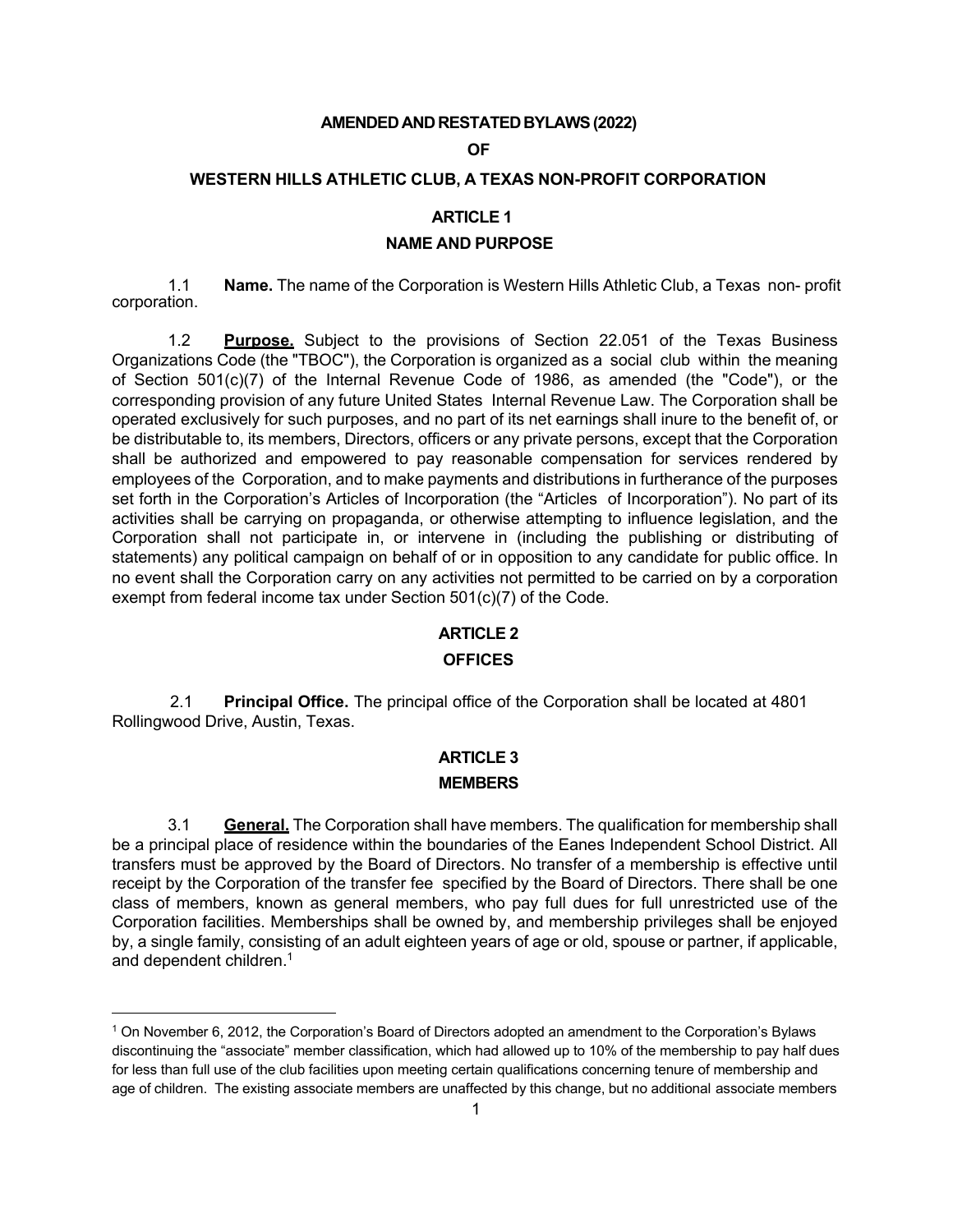### **AMENDEDAND RESTATEDBYLAWS(2022)**

### **OF**

### **WESTERN HILLS ATHLETIC CLUB, A TEXAS NON-PROFIT CORPORATION**

## **ARTICLE 1**

### **NAME AND PURPOSE**

1.1 **Name.** The name of the Corporation is Western Hills Athletic Club, a Texas non- profit corporation.

1.2 **Purpose.** Subject to the provisions of Section 22.051 of the Texas Business Organizations Code (the "TBOC"), the Corporation is organized as a social club within the meaning of Section 501(c)(7) of the Internal Revenue Code of 1986, as amended (the "Code"), or the corresponding provision of any future United States Internal Revenue Law. The Corporation shall be operated exclusively for such purposes, and no part of its net earnings shall inure to the benefit of, or be distributable to, its members, Directors, officers or any private persons, except that the Corporation shall be authorized and empowered to pay reasonable compensation for services rendered by employees of the Corporation, and to make payments and distributions in furtherance of the purposes set forth in the Corporation's Articles of Incorporation (the "Articles of Incorporation"). No part of its activities shall be carrying on propaganda, or otherwise attempting to influence legislation, and the Corporation shall not participate in, or intervene in (including the publishing or distributing of statements) any political campaign on behalf of or in opposition to any candidate for public office. In no event shall the Corporation carry on any activities not permitted to be carried on by a corporation exempt from federal income tax under Section 501(c)(7) of the Code.

### **ARTICLE 2**

### **OFFICES**

2.1 **Principal Office.** The principal office of the Corporation shall be located at 4801 Rollingwood Drive, Austin, Texas.

# **ARTICLE 3 MEMBERS**

3.1 **General.** The Corporation shall have members. The qualification for membership shall be a principal place of residence within the boundaries of the Eanes Independent School District. All transfers must be approved by the Board of Directors. No transfer of a membership is effective until receipt by the Corporation of the transfer fee specified by the Board of Directors. There shall be one class of members, known as general members, who pay full dues for full unrestricted use of the Corporation facilities. Memberships shall be owned by, and membership privileges shall be enjoyed by, a single family, consisting of an adult eighteen years of age or old, spouse or partner, if applicable, and dependent children.<sup>1</sup>

<sup>1</sup> On November 6, 2012, the Corporation's Board of Directors adopted an amendment to the Corporation's Bylaws discontinuing the "associate" member classification, which had allowed up to 10% of the membership to pay half dues for less than full use of the club facilities upon meeting certain qualifications concerning tenure of membership and age of children. The existing associate members are unaffected by this change, but no additional associate members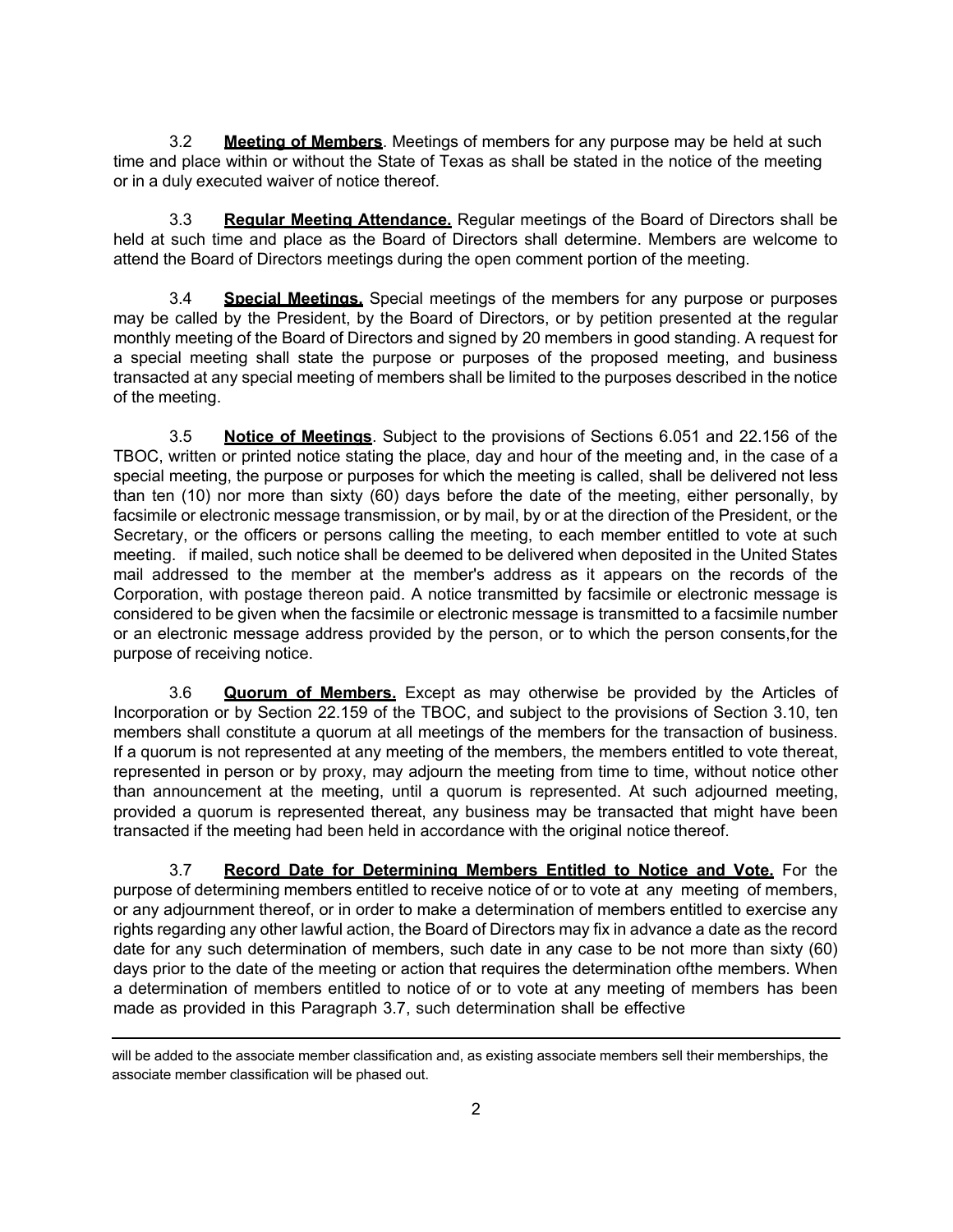3.2 **Meeting of Members**. Meetings of members for any purpose may be held at such time and place within or without the State of Texas as shall be stated in the notice of the meeting or in a duly executed waiver of notice thereof.

3.3 **Regular Meeting Attendance.** Regular meetings of the Board of Directors shall be held at such time and place as the Board of Directors shall determine. Members are welcome to attend the Board of Directors meetings during the open comment portion of the meeting.

3.4 **Special Meetings.** Special meetings of the members for any purpose or purposes may be called by the President, by the Board of Directors, or by petition presented at the regular monthly meeting of the Board of Directors and signed by 20 members in good standing. A request for a special meeting shall state the purpose or purposes of the proposed meeting, and business transacted at any special meeting of members shall be limited to the purposes described in the notice of the meeting.

3.5 **Notice of Meetings**. Subject to the provisions of Sections 6.051 and 22.156 of the TBOC, written or printed notice stating the place, day and hour of the meeting and, in the case of a special meeting, the purpose or purposes for which the meeting is called, shall be delivered not less than ten (10) nor more than sixty (60) days before the date of the meeting, either personally, by facsimile or electronic message transmission, or by mail, by or at the direction of the President, or the Secretary, or the officers or persons calling the meeting, to each member entitled to vote at such meeting. if mailed, such notice shall be deemed to be delivered when deposited in the United States mail addressed to the member at the member's address as it appears on the records of the Corporation, with postage thereon paid. A notice transmitted by facsimile or electronic message is considered to be given when the facsimile or electronic message is transmitted to a facsimile number or an electronic message address provided by the person, or to which the person consents,for the purpose of receiving notice.

3.6 **Quorum of Members.** Except as may otherwise be provided by the Articles of Incorporation or by Section 22.159 of the TBOC, and subject to the provisions of Section 3.10, ten members shall constitute a quorum at all meetings of the members for the transaction of business. If a quorum is not represented at any meeting of the members, the members entitled to vote thereat, represented in person or by proxy, may adjourn the meeting from time to time, without notice other than announcement at the meeting, until a quorum is represented. At such adjourned meeting, provided a quorum is represented thereat, any business may be transacted that might have been transacted if the meeting had been held in accordance with the original notice thereof.

3.7 **Record Date for Determining Members Entitled to Notice and Vote.** For the purpose of determining members entitled to receive notice of or to vote at any meeting of members, or any adjournment thereof, or in order to make a determination of members entitled to exercise any rights regarding any other lawful action, the Board of Directors may fix in advance a date as the record date for any such determination of members, such date in any case to be not more than sixty (60) days prior to the date of the meeting or action that requires the determination ofthe members. When a determination of members entitled to notice of or to vote at any meeting of members has been made as provided in this Paragraph 3.7, such determination shall be effective

will be added to the associate member classification and, as existing associate members sell their memberships, the associate member classification will be phased out.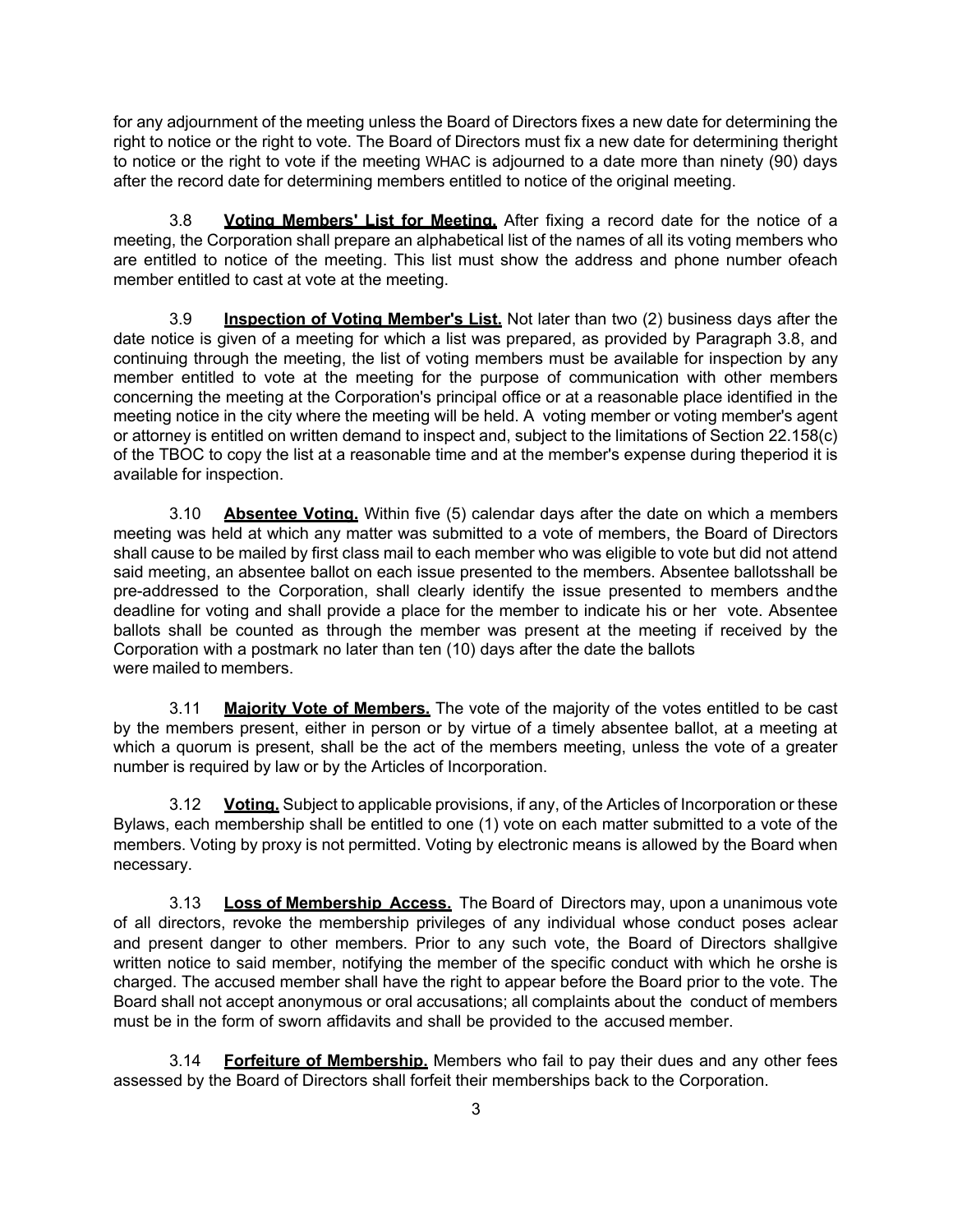for any adjournment of the meeting unless the Board of Directors fixes a new date for determining the right to notice or the right to vote. The Board of Directors must fix a new date for determining theright to notice or the right to vote if the meeting WHAC is adjourned to a date more than ninety (90) days after the record date for determining members entitled to notice of the original meeting.

3.8 **Voting Members' List for Meeting.** After fixing a record date for the notice of a meeting, the Corporation shall prepare an alphabetical list of the names of all its voting members who are entitled to notice of the meeting. This list must show the address and phone number ofeach member entitled to cast at vote at the meeting.

3.9 **Inspection of Voting Member's List.** Not later than two (2) business days after the date notice is given of a meeting for which a list was prepared, as provided by Paragraph 3.8, and continuing through the meeting, the list of voting members must be available for inspection by any member entitled to vote at the meeting for the purpose of communication with other members concerning the meeting at the Corporation's principal office or at a reasonable place identified in the meeting notice in the city where the meeting will be held. A voting member or voting member's agent or attorney is entitled on written demand to inspect and, subject to the limitations of Section 22.158(c) of the TBOC to copy the list at a reasonable time and at the member's expense during theperiod it is available for inspection.

3.10 **Absentee Voting.** Within five (5) calendar days after the date on which a members meeting was held at which any matter was submitted to a vote of members, the Board of Directors shall cause to be mailed by first class mail to each member who was eligible to vote but did not attend said meeting, an absentee ballot on each issue presented to the members. Absentee ballotsshall be pre-addressed to the Corporation, shall clearly identify the issue presented to members andthe deadline for voting and shall provide a place for the member to indicate his or her vote. Absentee ballots shall be counted as through the member was present at the meeting if received by the Corporation with a postmark no later than ten (10) days after the date the ballots were mailed to members.

3.11 **Majority Vote of Members.** The vote of the majority of the votes entitled to be cast by the members present, either in person or by virtue of a timely absentee ballot, at a meeting at which a quorum is present, shall be the act of the members meeting, unless the vote of a greater number is required by law or by the Articles of Incorporation.

3.12 **Voting.** Subject to applicable provisions, if any, of the Articles of Incorporation or these Bylaws, each membership shall be entitled to one (1) vote on each matter submitted to a vote of the members. Voting by proxy is not permitted. Voting by electronic means is allowed by the Board when necessary.

3.13 **Loss of Membership Access.** The Board of Directors may, upon a unanimous vote of all directors, revoke the membership privileges of any individual whose conduct poses aclear and present danger to other members. Prior to any such vote, the Board of Directors shallgive written notice to said member, notifying the member of the specific conduct with which he orshe is charged. The accused member shall have the right to appear before the Board prior to the vote. The Board shall not accept anonymous or oral accusations; all complaints about the conduct of members must be in the form of sworn affidavits and shall be provided to the accused member.

3.14 **Forfeiture of Membership.** Members who fail to pay their dues and any other fees assessed by the Board of Directors shall forfeit their memberships back to the Corporation.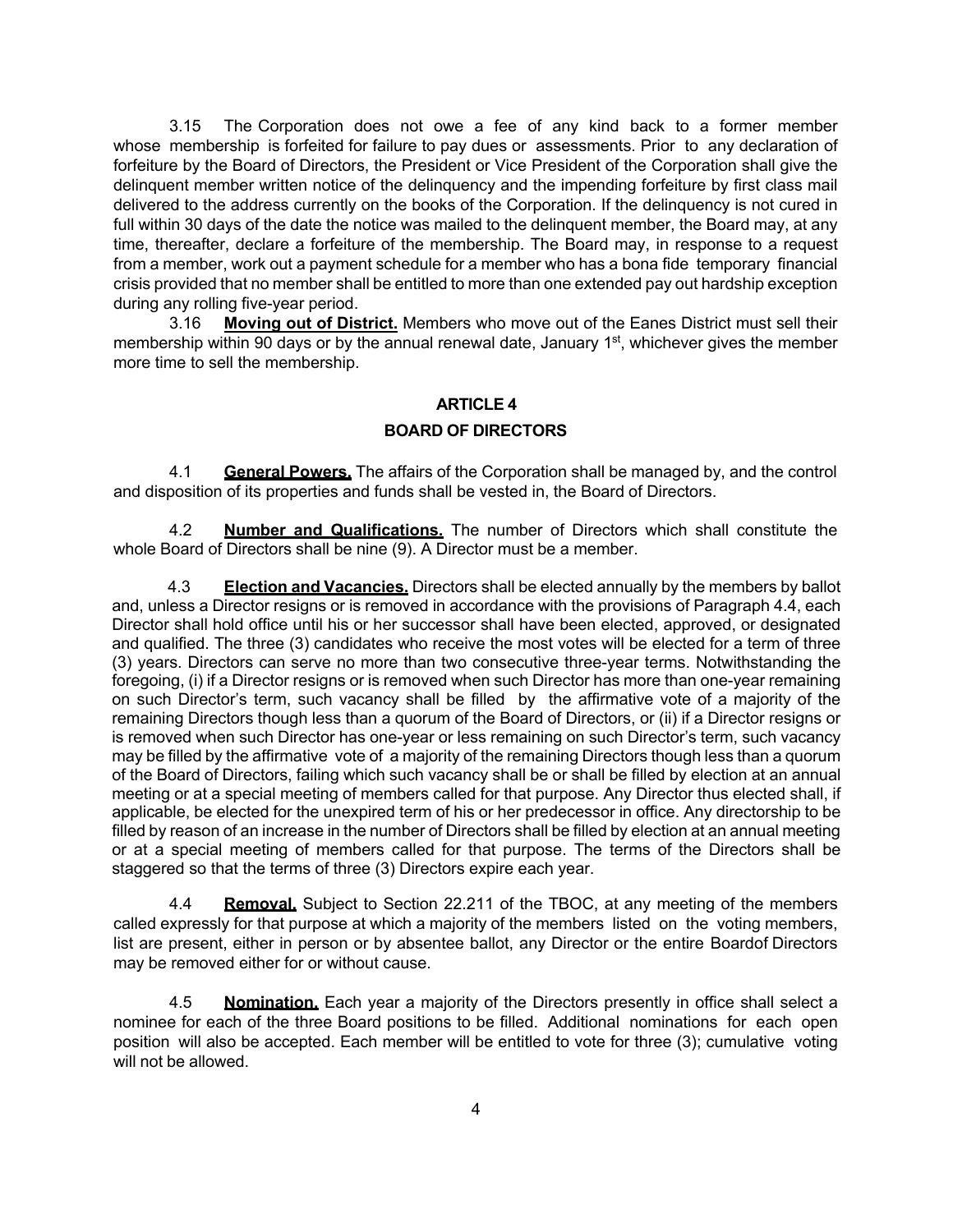3.15 The Corporation does not owe a fee of any kind back to a former member whose membership is forfeited for failure to pay dues or assessments. Prior to any declaration of forfeiture by the Board of Directors, the President or Vice President of the Corporation shall give the delinquent member written notice of the delinquency and the impending forfeiture by first class mail delivered to the address currently on the books of the Corporation. If the delinquency is not cured in full within 30 days of the date the notice was mailed to the delinquent member, the Board may, at any time, thereafter, declare a forfeiture of the membership. The Board may, in response to a request from a member, work out a payment schedule for a member who has a bona fide temporary financial crisis provided that no member shall be entitled to more than one extended pay out hardship exception during any rolling five-year period.

3.16 **Moving out of District.** Members who move out of the Eanes District must sell their membership within 90 days or by the annual renewal date, January 1<sup>st</sup>, whichever gives the member more time to sell the membership.

## **ARTICLE 4**

## **BOARD OF DIRECTORS**

4.1 **General Powers.** The affairs of the Corporation shall be managed by, and the control and disposition of its properties and funds shall be vested in, the Board of Directors.

4.2 **Number and Qualifications.** The number of Directors which shall constitute the whole Board of Directors shall be nine (9). A Director must be a member.

4.3 **Election and Vacancies.** Directors shall be elected annually by the members by ballot and, unless a Director resigns or is removed in accordance with the provisions of Paragraph 4.4, each Director shall hold office until his or her successor shall have been elected, approved, or designated and qualified. The three (3) candidates who receive the most votes will be elected for a term of three (3) years. Directors can serve no more than two consecutive three-year terms. Notwithstanding the foregoing, (i) if a Director resigns or is removed when such Director has more than one-year remaining on such Director's term, such vacancy shall be filled by the affirmative vote of a majority of the remaining Directors though less than a quorum of the Board of Directors, or (ii) if a Director resigns or is removed when such Director has one-year or less remaining on such Director's term, such vacancy may be filled by the affirmative vote of a majority of the remaining Directors though less than a quorum of the Board of Directors, failing which such vacancy shall be or shall be filled by election at an annual meeting or at a special meeting of members called for that purpose. Any Director thus elected shall, if applicable, be elected for the unexpired term of his or her predecessor in office. Any directorship to be filled by reason of an increase in the number of Directors shall be filled by election at an annual meeting or at a special meeting of members called for that purpose. The terms of the Directors shall be staggered so that the terms of three (3) Directors expire each year.

4.4 **Removal.** Subject to Section 22.211 of the TBOC, at any meeting of the members called expressly for that purpose at which a majority of the members listed on the voting members, list are present, either in person or by absentee ballot, any Director or the entire Boardof Directors may be removed either for or without cause.

4.5 **Nomination.** Each year a majority of the Directors presently in office shall select a nominee for each of the three Board positions to be filled. Additional nominations for each open position will also be accepted. Each member will be entitled to vote for three (3); cumulative voting will not be allowed.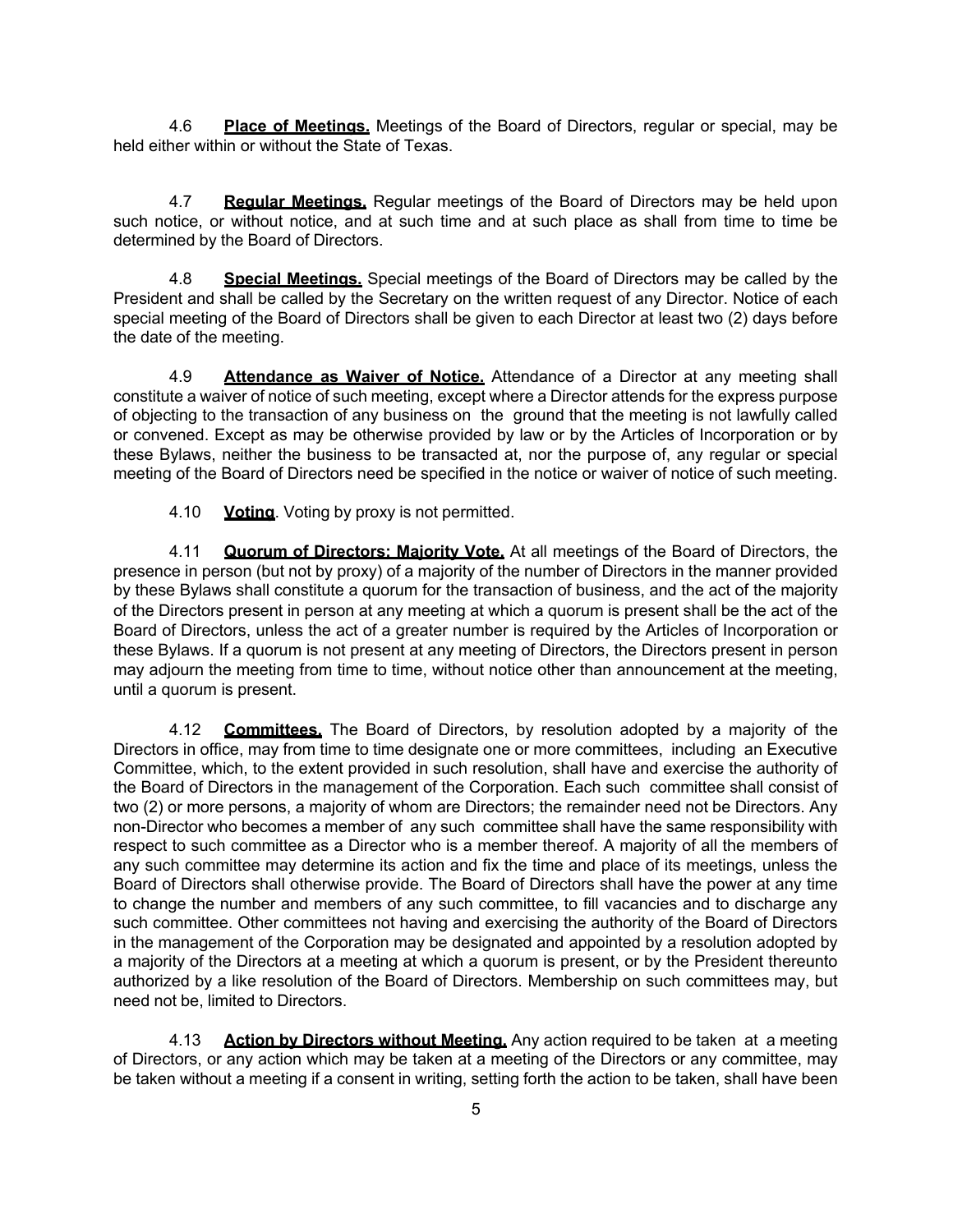4.6 **Place of Meetings.** Meetings of the Board of Directors, regular or special, may be held either within or without the State of Texas.

4.7 **Regular Meetings.** Regular meetings of the Board of Directors may be held upon such notice, or without notice, and at such time and at such place as shall from time to time be determined by the Board of Directors.

4.8 **Special Meetings.** Special meetings of the Board of Directors may be called by the President and shall be called by the Secretary on the written request of any Director. Notice of each special meeting of the Board of Directors shall be given to each Director at least two (2) days before the date of the meeting.

4.9 **Attendance as Waiver of Notice.** Attendance of a Director at any meeting shall constitute a waiver of notice of such meeting, except where a Director attends for the express purpose of objecting to the transaction of any business on the ground that the meeting is not lawfully called or convened. Except as may be otherwise provided by law or by the Articles of Incorporation or by these Bylaws, neither the business to be transacted at, nor the purpose of, any regular or special meeting of the Board of Directors need be specified in the notice or waiver of notice of such meeting.

4.10 **Voting**. Voting by proxy is not permitted.

4.11 **Quorum of Directors; Majority Vote.** At all meetings of the Board of Directors, the presence in person (but not by proxy) of a majority of the number of Directors in the manner provided by these Bylaws shall constitute a quorum for the transaction of business, and the act of the majority of the Directors present in person at any meeting at which a quorum is present shall be the act of the Board of Directors, unless the act of a greater number is required by the Articles of Incorporation or these Bylaws. If a quorum is not present at any meeting of Directors, the Directors present in person may adjourn the meeting from time to time, without notice other than announcement at the meeting, until a quorum is present.

4.12 **Committees.** The Board of Directors, by resolution adopted by a majority of the Directors in office, may from time to time designate one or more committees, including an Executive Committee, which, to the extent provided in such resolution, shall have and exercise the authority of the Board of Directors in the management of the Corporation. Each such committee shall consist of two (2) or more persons, a majority of whom are Directors; the remainder need not be Directors. Any non-Director who becomes a member of any such committee shall have the same responsibility with respect to such committee as a Director who is a member thereof. A majority of all the members of any such committee may determine its action and fix the time and place of its meetings, unless the Board of Directors shall otherwise provide. The Board of Directors shall have the power at any time to change the number and members of any such committee, to fill vacancies and to discharge any such committee. Other committees not having and exercising the authority of the Board of Directors in the management of the Corporation may be designated and appointed by a resolution adopted by a majority of the Directors at a meeting at which a quorum is present, or by the President thereunto authorized by a like resolution of the Board of Directors. Membership on such committees may, but need not be, limited to Directors.

4.13 **Action by Directors without Meeting.** Any action required to be taken at a meeting of Directors, or any action which may be taken at a meeting of the Directors or any committee, may be taken without a meeting if a consent in writing, setting forth the action to be taken, shall have been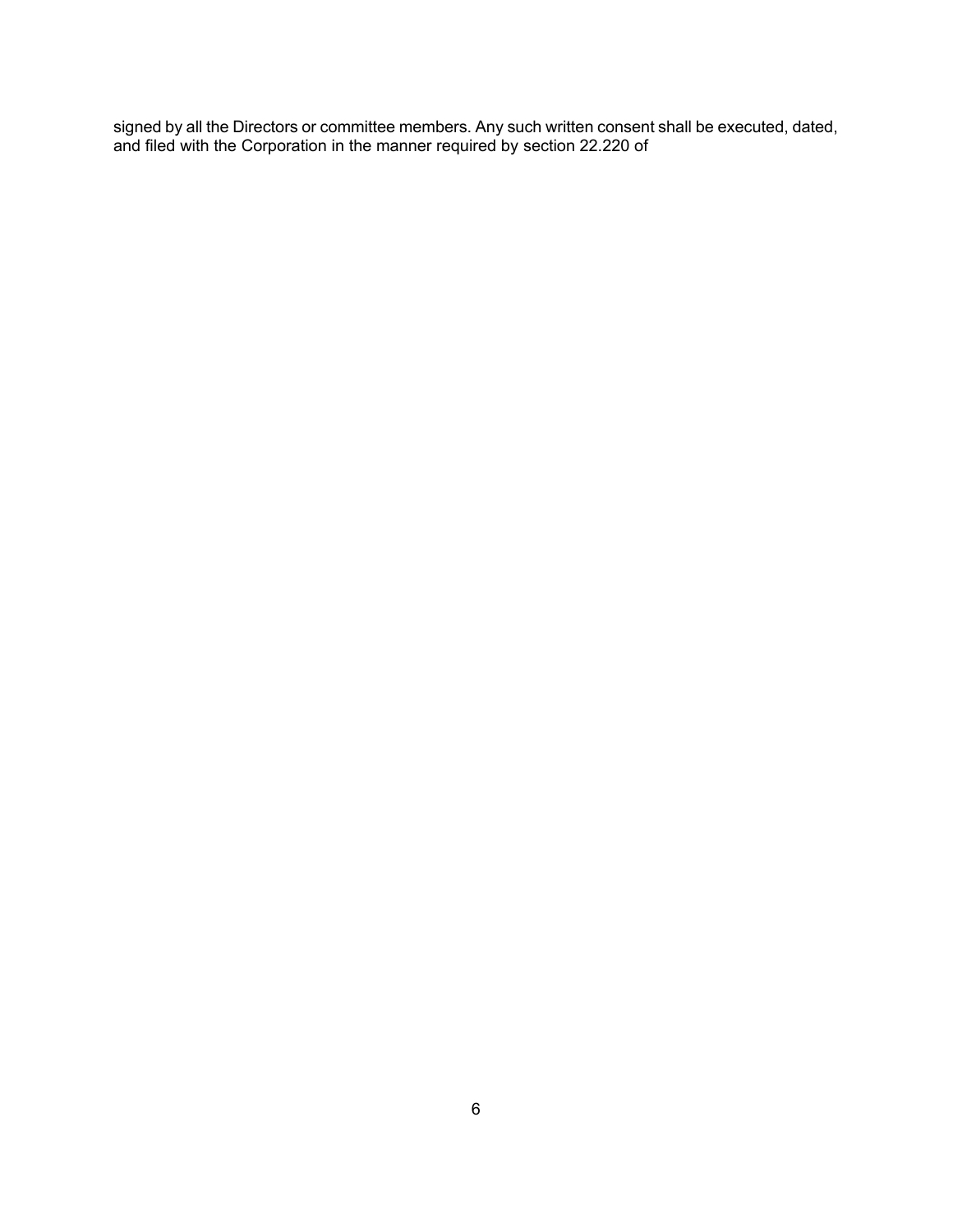signed by all the Directors or committee members. Any such written consent shall be executed, dated, and filed with the Corporation in the manner required by section 22.220 of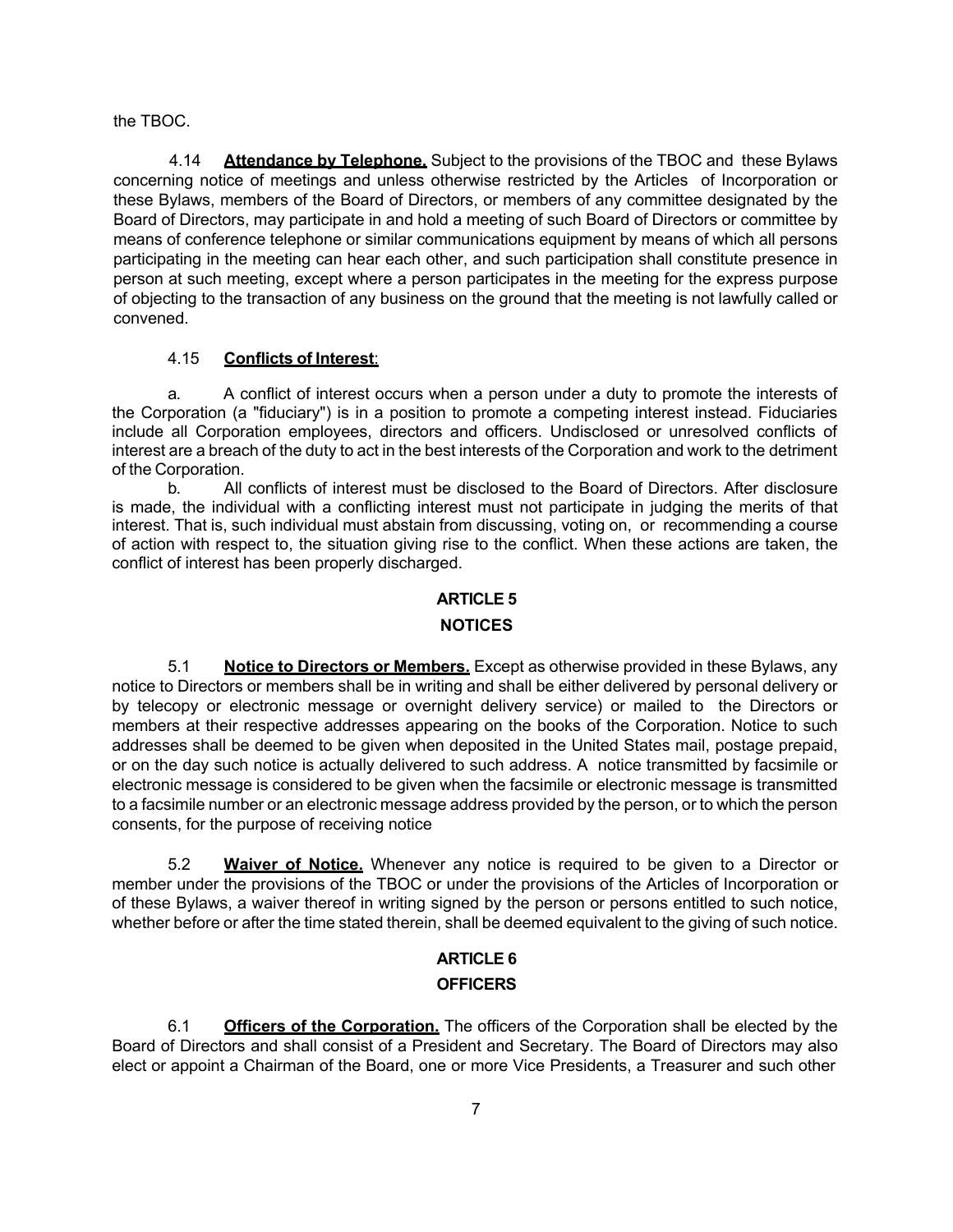the TBOC.

4.14 **Attendance by Telephone.** Subject to the provisions of the TBOC and these Bylaws concerning notice of meetings and unless otherwise restricted by the Articles of Incorporation or these Bylaws, members of the Board of Directors, or members of any committee designated by the Board of Directors, may participate in and hold a meeting of such Board of Directors or committee by means of conference telephone or similar communications equipment by means of which all persons participating in the meeting can hear each other, and such participation shall constitute presence in person at such meeting, except where a person participates in the meeting for the express purpose of objecting to the transaction of any business on the ground that the meeting is not lawfully called or convened.

# 4.15 **Conflicts of Interest**:

a. A conflict of interest occurs when a person under a duty to promote the interests of the Corporation (a "fiduciary") is in a position to promote a competing interest instead. Fiduciaries include all Corporation employees, directors and officers. Undisclosed or unresolved conflicts of interest are a breach of the duty to act in the best interests of the Corporation and work to the detriment of the Corporation.

b. All conflicts of interest must be disclosed to the Board of Directors. After disclosure is made, the individual with a conflicting interest must not participate in judging the merits of that interest. That is, such individual must abstain from discussing, voting on, or recommending a course of action with respect to, the situation giving rise to the conflict. When these actions are taken, the conflict of interest has been properly discharged.

# **ARTICLE 5**

# **NOTICES**

5.1 **Notice to Directors or Members.** Except as otherwise provided in these Bylaws, any notice to Directors or members shall be in writing and shall be either delivered by personal delivery or by telecopy or electronic message or overnight delivery service) or mailed to the Directors or members at their respective addresses appearing on the books of the Corporation. Notice to such addresses shall be deemed to be given when deposited in the United States mail, postage prepaid, or on the day such notice is actually delivered to such address. A notice transmitted by facsimile or electronic message is considered to be given when the facsimile or electronic message is transmitted to a facsimile number or an electronic message address provided by the person, or to which the person consents, for the purpose of receiving notice

5.2 **Waiver of Notice.** Whenever any notice is required to be given to a Director or member under the provisions of the TBOC or under the provisions of the Articles of Incorporation or of these Bylaws, a waiver thereof in writing signed by the person or persons entitled to such notice, whether before or after the time stated therein, shall be deemed equivalent to the giving of such notice.

# **ARTICLE 6 OFFICERS**

6.1 **Officers of the Corporation.** The officers of the Corporation shall be elected by the Board of Directors and shall consist of a President and Secretary. The Board of Directors may also elect or appoint a Chairman of the Board, one or more Vice Presidents, a Treasurer and such other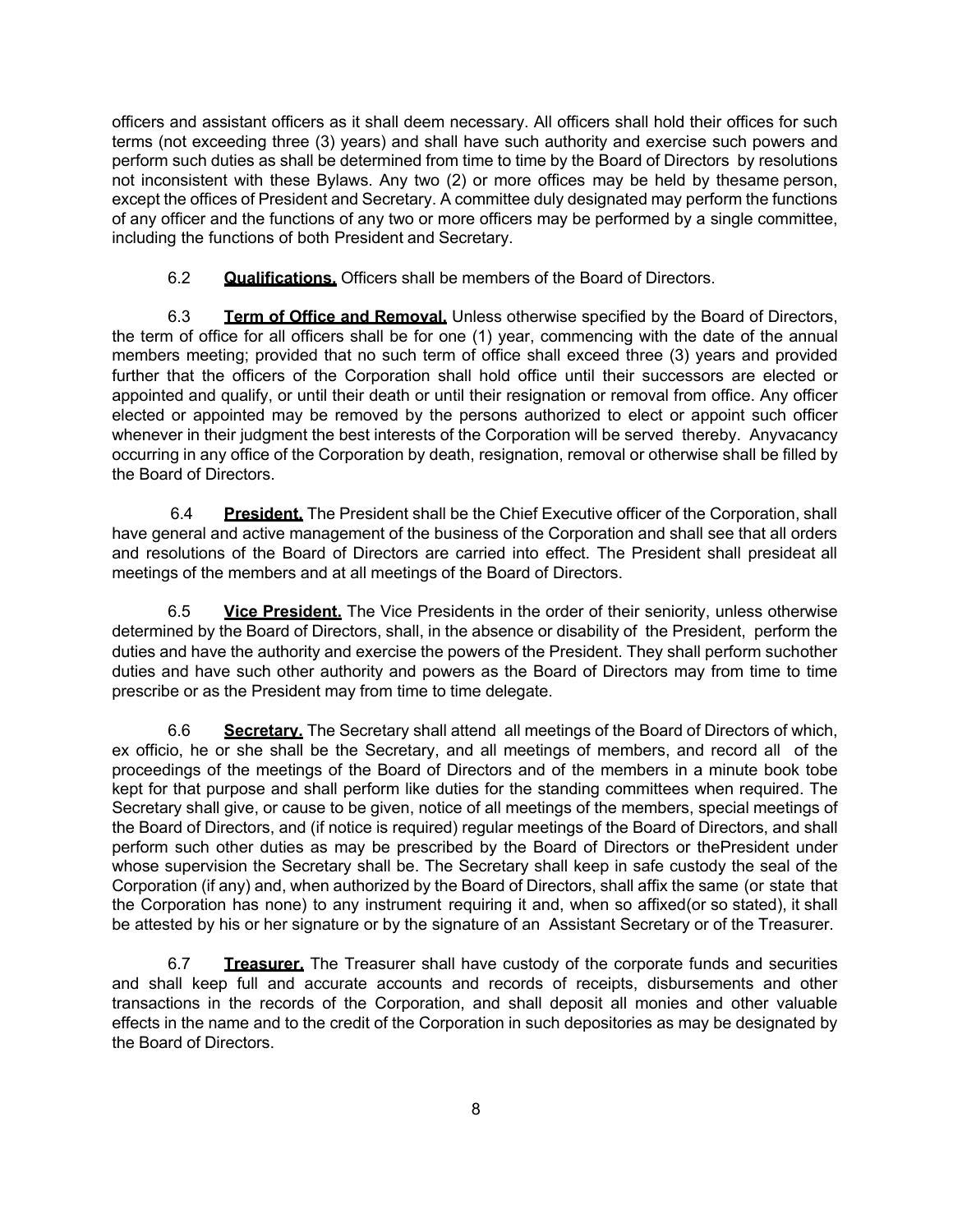officers and assistant officers as it shall deem necessary. All officers shall hold their offices for such terms (not exceeding three (3) years) and shall have such authority and exercise such powers and perform such duties as shall be determined from time to time by the Board of Directors by resolutions not inconsistent with these Bylaws. Any two (2) or more offices may be held by thesame person, except the offices of President and Secretary. A committee duly designated may perform the functions of any officer and the functions of any two or more officers may be performed by a single committee, including the functions of both President and Secretary.

6.2 **Qualifications.** Officers shall be members of the Board of Directors.

6.3 **Term of Office and Removal.** Unless otherwise specified by the Board of Directors, the term of office for all officers shall be for one (1) year, commencing with the date of the annual members meeting; provided that no such term of office shall exceed three (3) years and provided further that the officers of the Corporation shall hold office until their successors are elected or appointed and qualify, or until their death or until their resignation or removal from office. Any officer elected or appointed may be removed by the persons authorized to elect or appoint such officer whenever in their judgment the best interests of the Corporation will be served thereby. Anyvacancy occurring in any office of the Corporation by death, resignation, removal or otherwise shall be filled by the Board of Directors.

6.4 **President.** The President shall be the Chief Executive officer of the Corporation, shall have general and active management of the business of the Corporation and shall see that all orders and resolutions of the Board of Directors are carried into effect. The President shall presideat all meetings of the members and at all meetings of the Board of Directors.

6.5 **Vice President.** The Vice Presidents in the order of their seniority, unless otherwise determined by the Board of Directors, shall, in the absence or disability of the President, perform the duties and have the authority and exercise the powers of the President. They shall perform suchother duties and have such other authority and powers as the Board of Directors may from time to time prescribe or as the President may from time to time delegate.

6.6 **Secretary.** The Secretary shall attend all meetings of the Board of Directors of which, ex officio, he or she shall be the Secretary, and all meetings of members, and record all of the proceedings of the meetings of the Board of Directors and of the members in a minute book tobe kept for that purpose and shall perform like duties for the standing committees when required. The Secretary shall give, or cause to be given, notice of all meetings of the members, special meetings of the Board of Directors, and (if notice is required) regular meetings of the Board of Directors, and shall perform such other duties as may be prescribed by the Board of Directors or thePresident under whose supervision the Secretary shall be. The Secretary shall keep in safe custody the seal of the Corporation (if any) and, when authorized by the Board of Directors, shall affix the same (or state that the Corporation has none) to any instrument requiring it and, when so affixed(or so stated), it shall be attested by his or her signature or by the signature of an Assistant Secretary or of the Treasurer.

6.7 **Treasurer.** The Treasurer shall have custody of the corporate funds and securities and shall keep full and accurate accounts and records of receipts, disbursements and other transactions in the records of the Corporation, and shall deposit all monies and other valuable effects in the name and to the credit of the Corporation in such depositories as may be designated by the Board of Directors.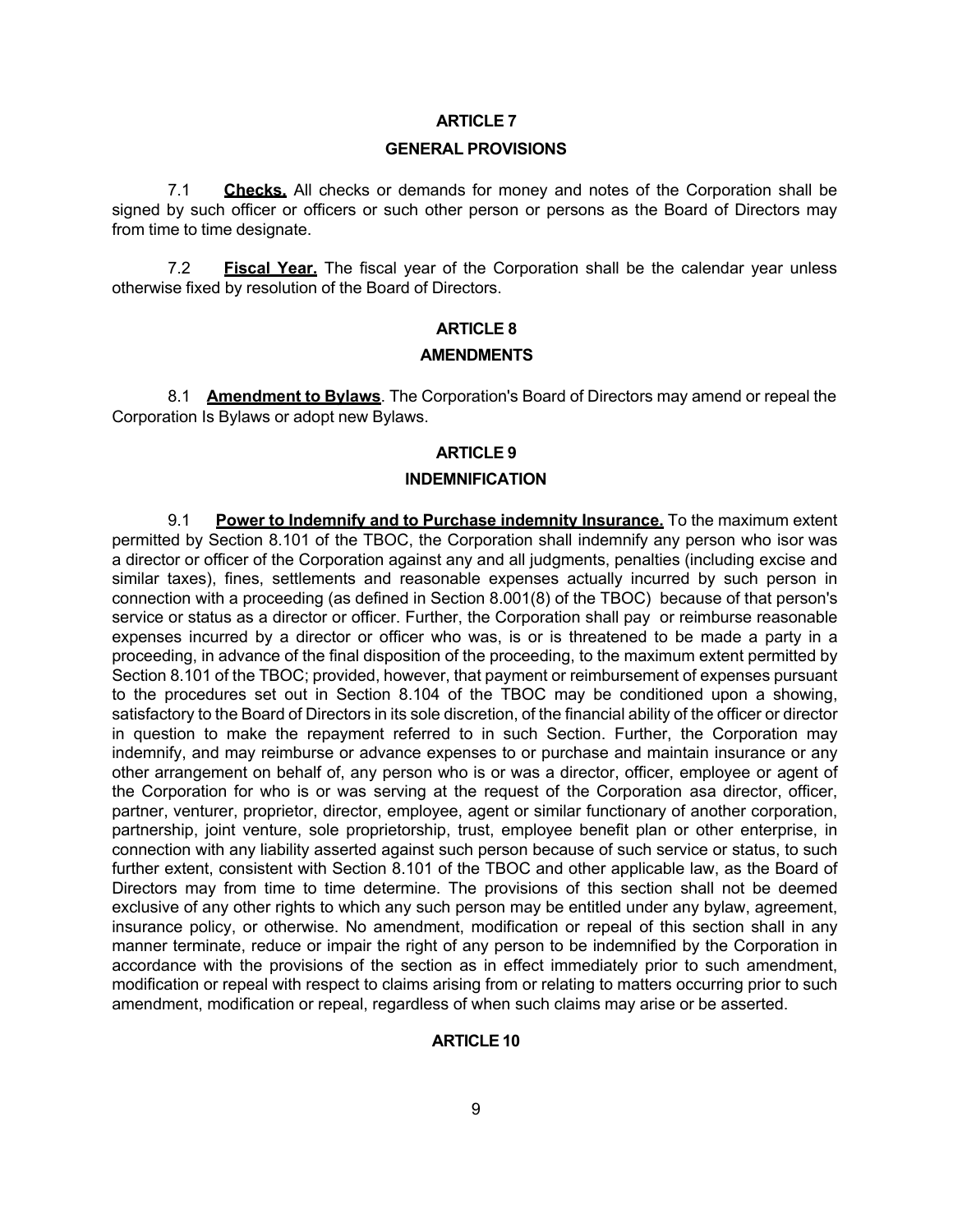### **ARTICLE 7**

#### **GENERAL PROVISIONS**

7.1 **Checks.** All checks or demands for money and notes of the Corporation shall be signed by such officer or officers or such other person or persons as the Board of Directors may from time to time designate.

7.2 **Fiscal Year.** The fiscal year of the Corporation shall be the calendar year unless otherwise fixed by resolution of the Board of Directors.

## **ARTICLE 8**

### **AMENDMENTS**

8.1 **Amendment to Bylaws**. The Corporation's Board of Directors may amend or repeal the Corporation Is Bylaws or adopt new Bylaws.

# **ARTICLE 9**

## **INDEMNIFICATION**

9.1 **Power to Indemnify and to Purchase indemnity Insurance.** To the maximum extent permitted by Section 8.101 of the TBOC, the Corporation shall indemnify any person who isor was a director or officer of the Corporation against any and all judgments, penalties (including excise and similar taxes), fines, settlements and reasonable expenses actually incurred by such person in connection with a proceeding (as defined in Section 8.001(8) of the TBOC) because of that person's service or status as a director or officer. Further, the Corporation shall pay or reimburse reasonable expenses incurred by a director or officer who was, is or is threatened to be made a party in a proceeding, in advance of the final disposition of the proceeding, to the maximum extent permitted by Section 8.101 of the TBOC; provided, however, that payment or reimbursement of expenses pursuant to the procedures set out in Section 8.104 of the TBOC may be conditioned upon a showing, satisfactory to the Board of Directors in its sole discretion, of the financial ability of the officer or director in question to make the repayment referred to in such Section. Further, the Corporation may indemnify, and may reimburse or advance expenses to or purchase and maintain insurance or any other arrangement on behalf of, any person who is or was a director, officer, employee or agent of the Corporation for who is or was serving at the request of the Corporation asa director, officer, partner, venturer, proprietor, director, employee, agent or similar functionary of another corporation, partnership, joint venture, sole proprietorship, trust, employee benefit plan or other enterprise, in connection with any liability asserted against such person because of such service or status, to such further extent, consistent with Section 8.101 of the TBOC and other applicable law, as the Board of Directors may from time to time determine. The provisions of this section shall not be deemed exclusive of any other rights to which any such person may be entitled under any bylaw, agreement, insurance policy, or otherwise. No amendment, modification or repeal of this section shall in any manner terminate, reduce or impair the right of any person to be indemnified by the Corporation in accordance with the provisions of the section as in effect immediately prior to such amendment, modification or repeal with respect to claims arising from or relating to matters occurring prior to such amendment, modification or repeal, regardless of when such claims may arise or be asserted.

### **ARTICLE 10**